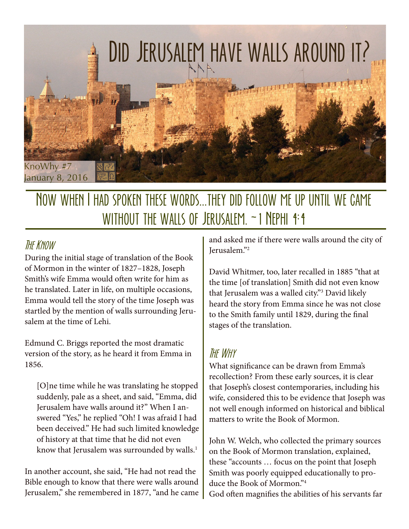

## Now when I had spoken these words...they did follow me up until we came without the walls of Jerusalem. ~1 Nephi 4:4

### **THE KNOW**

During the initial stage of translation of the Book of Mormon in the winter of 1827–1828, Joseph Smith's wife Emma would often write for him as he translated. Later in life, on multiple occasions, Emma would tell the story of the time Joseph was startled by the mention of walls surrounding Jerusalem at the time of Lehi.

Edmund C. Briggs reported the most dramatic version of the story, as he heard it from Emma in 1856.

[O]ne time while he was translating he stopped suddenly, pale as a sheet, and said, "Emma, did Jerusalem have walls around it?" When I answered "Yes," he replied "Oh! I was afraid I had been deceived." He had such limited knowledge of history at that time that he did not even know that Jerusalem was surrounded by walls. $^1$ 

In another account, she said, "He had not read the Bible enough to know that there were walls around Jerusalem," she remembered in 1877, "and he came and asked me if there were walls around the city of Jerusalem."2

David Whitmer, too, later recalled in 1885 "that at the time [of translation] Smith did not even know that Jerusalem was a walled city."3 David likely heard the story from Emma since he was not close to the Smith family until 1829, during the final stages of the translation.

#### The Why

What significance can be drawn from Emma's recollection? From these early sources, it is clear that Joseph's closest contemporaries, including his wife, considered this to be evidence that Joseph was not well enough informed on historical and biblical matters to write the Book of Mormon.

John W. Welch, who collected the primary sources on the Book of Mormon translation, explained, these "accounts … focus on the point that Joseph Smith was poorly equipped educationally to produce the Book of Mormon."4

God often magnifies the abilities of his servants far